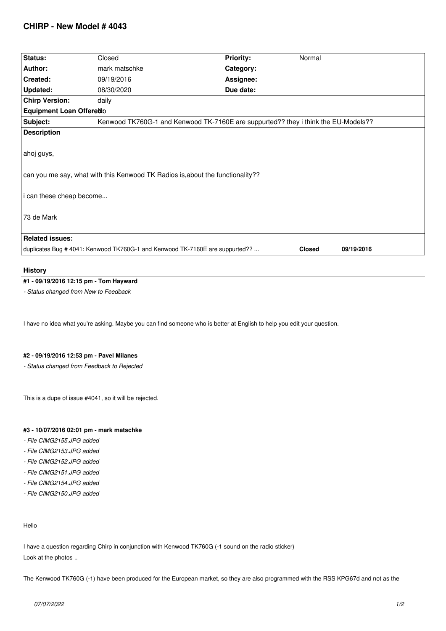# **CHIRP - New Model # 4043**

| Status:                  | Closed                                                                         | <b>Priority:</b><br>Normal                                                         |  |
|--------------------------|--------------------------------------------------------------------------------|------------------------------------------------------------------------------------|--|
| Author:                  | mark matschke                                                                  | Category:                                                                          |  |
| Created:                 | 09/19/2016                                                                     | Assignee:                                                                          |  |
| Updated:                 | 08/30/2020                                                                     | Due date:                                                                          |  |
| <b>Chirp Version:</b>    | daily                                                                          |                                                                                    |  |
| Equipment Loan Offeredo  |                                                                                |                                                                                    |  |
| Subject:                 |                                                                                | Kenwood TK760G-1 and Kenwood TK-7160E are suppurted?? they i think the EU-Models?? |  |
| <b>Description</b>       |                                                                                |                                                                                    |  |
|                          |                                                                                |                                                                                    |  |
| ahoj guys,               |                                                                                |                                                                                    |  |
|                          |                                                                                |                                                                                    |  |
|                          | can you me say, what with this Kenwood TK Radios is, about the functionality?? |                                                                                    |  |
|                          |                                                                                |                                                                                    |  |
|                          |                                                                                |                                                                                    |  |
|                          |                                                                                |                                                                                    |  |
| i can these cheap become |                                                                                |                                                                                    |  |
| 73 de Mark               |                                                                                |                                                                                    |  |
|                          |                                                                                |                                                                                    |  |
| <b>Related issues:</b>   |                                                                                |                                                                                    |  |

### **History**

# **#1 - 09/19/2016 12:15 pm - Tom Hayward**

*- Status changed from New to Feedback*

*I have no idea what you're asking. Maybe you can find someone who is better at English to help you edit your question.*

#### **#2 - 09/19/2016 12:53 pm - Pavel Milanes**

*- Status changed from Feedback to Rejected*

*This is a dupe of issue #4041, so it will be rejected.*

# **#3 - 10/07/2016 02:01 pm - mark matschke**

- *File CIMG2155.JPG added*
- *File CIMG2153.JPG added*
- *File CIMG2152.JPG added*
- *File CIMG2151.JPG added*
- *File CIMG2154.JPG added*
- *File CIMG2150.JPG added*

### *Hello*

*I have a question regarding Chirp in conjunction with Kenwood TK760G (-1 sound on the radio sticker) Look at the photos ..*

*The Kenwood TK760G (-1) have been produced for the European market, so they are also programmed with the RSS KPG67d and not as the*